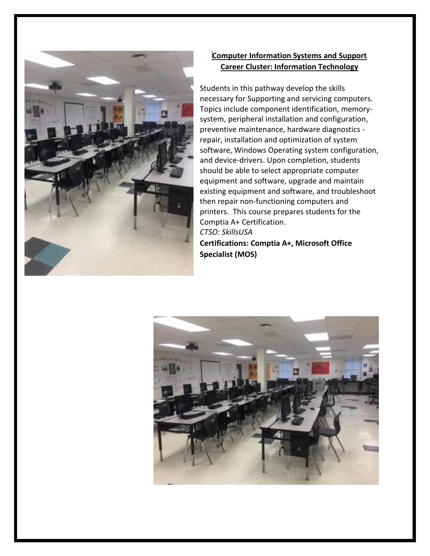

### **Computer Information Systems and Support Career Cluster: Information Technology**

Students in this pathway develop the skills necessary for Supporting and servicing computers. Topics include component identification, memorysystem, peripheral installation and configuration, preventive maintenance, hardware diagnostics repair, installation and optimization of system software, Windows Operating system configuration, and device-drivers. Upon completion, students should be able to select appropriate computer equipment and software, upgrade and maintain existing equipment and software, and troubleshoot then repair non-functioning computers and printers. This course prepares students for the Comptia A+ Certification. *CTSO: SkillsUSA*

**Certifications: Comptia A+, Microsoft Office Specialist (MOS)**

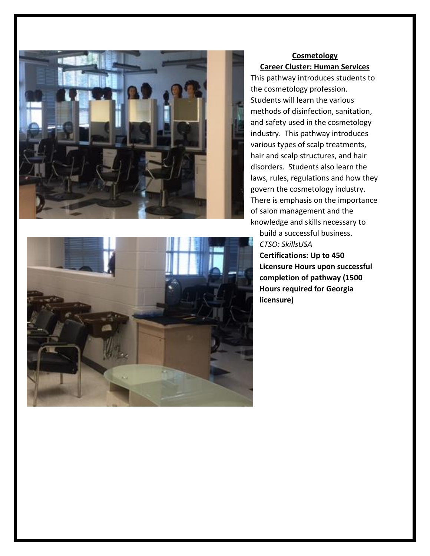

### **Cosmetology Career Cluster: Human Services**

This pathway introduces students to the cosmetology profession. Students will learn the various methods of disinfection, sanitation, and safety used in the cosmetology industry. This pathway introduces various types of scalp treatments, hair and scalp structures, and hair disorders. Students also learn the laws, rules, regulations and how they govern the cosmetology industry. There is emphasis on the importance of salon management and the knowledge and skills necessary to

build a successful business. *CTSO: SkillsUSA* **Certifications: Up to 450 Licensure Hours upon successful completion of pathway (1500 Hours required for Georgia licensure)**

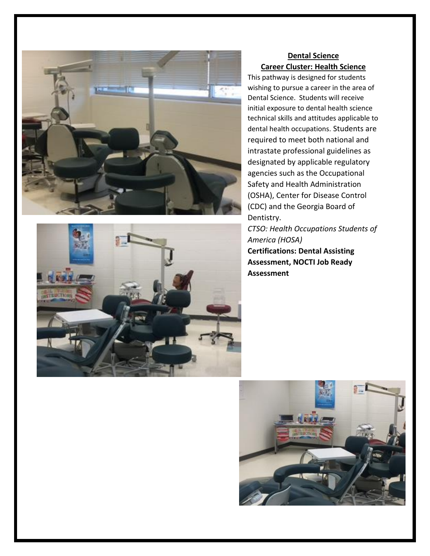



### **Dental Science Career Cluster: Health Science**

This pathway is designed for students wishing to pursue a career in the area of Dental Science. Students will receive initial exposure to dental health science technical skills and attitudes applicable to dental health occupations. Students are required to meet both national and intrastate professional guidelines as designated by applicable regulatory agencies such as the Occupational Safety and Health Administration (OSHA), Center for Disease Control (CDC) and the Georgia Board of Dentistry.

*CTSO: Health Occupations Students of America (HOSA)* **Certifications: Dental Assisting Assessment, NOCTI Job Ready Assessment**

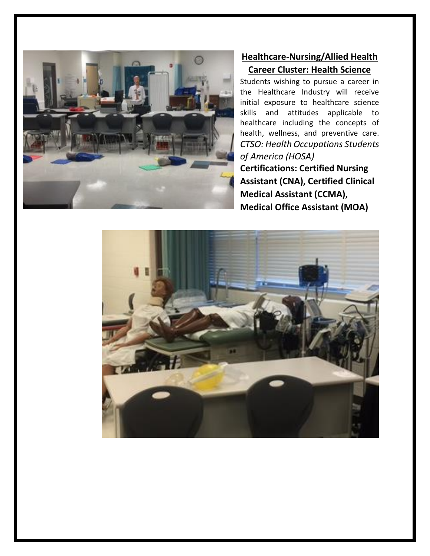

# **Healthcare-Nursing/Allied Health Career Cluster: Health Science**

Students wishing to pursue a career in the Healthcare Industry will receive initial exposure to healthcare science skills and attitudes applicable to healthcare including the concepts of health, wellness, and preventive care. *CTSO: Health Occupations Students of America (HOSA)* **Certifications: Certified Nursing Assistant (CNA), Certified Clinical Medical Assistant (CCMA), Medical Office Assistant (MOA)**

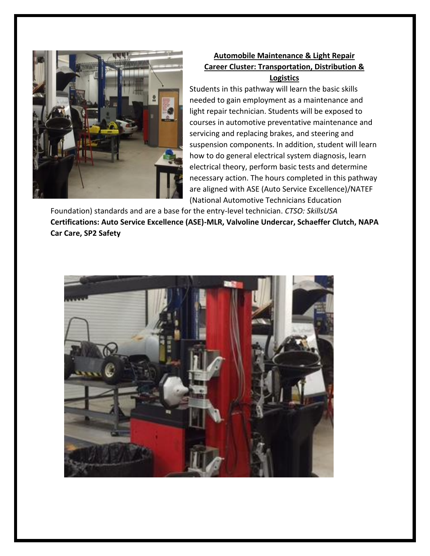

### **Automobile Maintenance & Light Repair Career Cluster: Transportation, Distribution & Logistics**

Students in this pathway will learn the basic skills needed to gain employment as a maintenance and light repair technician. Students will be exposed to courses in automotive preventative maintenance and servicing and replacing brakes, and steering and suspension components. In addition, student will learn how to do general electrical system diagnosis, learn electrical theory, perform basic tests and determine necessary action. The hours completed in this pathway are aligned with ASE (Auto Service Excellence)/NATEF (National Automotive Technicians Education

Foundation) standards and are a base for the entry-level technician. *CTSO: SkillsUSA* **Certifications: Auto Service Excellence (ASE)-MLR, Valvoline Undercar, Schaeffer Clutch, NAPA Car Care, SP2 Safety**

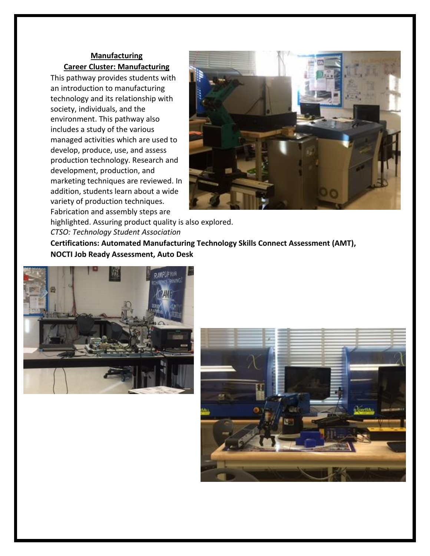### **Manufacturing Career Cluster: Manufacturing**

This pathway provides students with an introduction to manufacturing technology and its relationship with society, individuals, and the environment. This pathway also includes a study of the various managed activities which are used to develop, produce, use, and assess production technology. Research and development, production, and marketing techniques are reviewed. In addition, students learn about a wide variety of production techniques. Fabrication and assembly steps are



highlighted. Assuring product quality is also explored. *CTSO: Technology Student Association* **Certifications: Automated Manufacturing Technology Skills Connect Assessment (AMT), NOCTI Job Ready Assessment, Auto Desk**